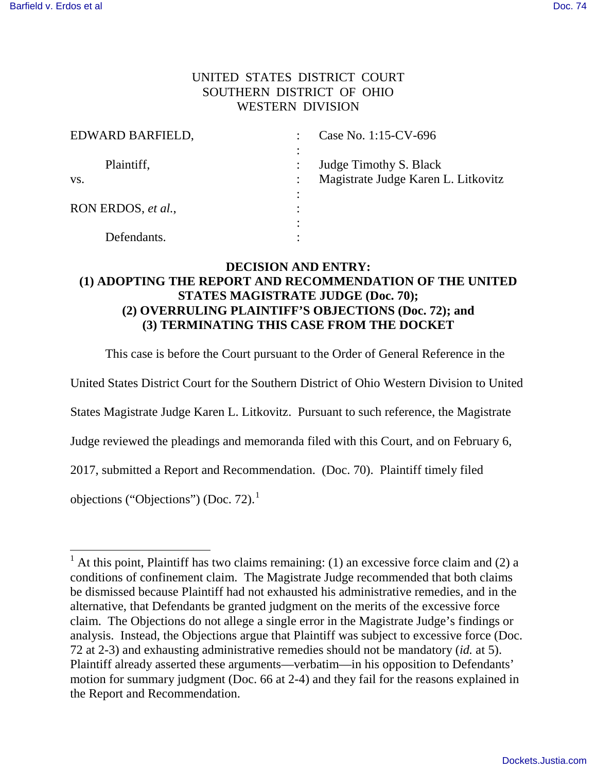## UNITED STATES DISTRICT COURT SOUTHERN DISTRICT OF OHIO WESTERN DIVISION

| EDWARD BARFIELD,   | Case No. 1:15-CV-696 |                                     |
|--------------------|----------------------|-------------------------------------|
|                    |                      |                                     |
| Plaintiff,         |                      | Judge Timothy S. Black              |
| VS.                |                      | Magistrate Judge Karen L. Litkovitz |
|                    |                      |                                     |
| RON ERDOS, et al., |                      |                                     |
|                    |                      |                                     |
| Defendants.        |                      |                                     |

## **DECISION AND ENTRY: (1) ADOPTING THE REPORT AND RECOMMENDATION OF THE UNITED STATES MAGISTRATE JUDGE (Doc. 70); (2) OVERRULING PLAINTIFF'S OBJECTIONS (Doc. 72); and (3) TERMINATING THIS CASE FROM THE DOCKET**

This case is before the Court pursuant to the Order of General Reference in the

United States District Court for the Southern District of Ohio Western Division to United

States Magistrate Judge Karen L. Litkovitz. Pursuant to such reference, the Magistrate

Judge reviewed the pleadings and memoranda filed with this Court, and on February 6,

2017, submitted a Report and Recommendation. (Doc. 70). Plaintiff timely filed

objections ("Objections") (Doc. 72). $<sup>1</sup>$ </sup>

ı

 $<sup>1</sup>$  At this point, Plaintiff has two claims remaining: (1) an excessive force claim and (2) a</sup> conditions of confinement claim. The Magistrate Judge recommended that both claims be dismissed because Plaintiff had not exhausted his administrative remedies, and in the alternative, that Defendants be granted judgment on the merits of the excessive force claim. The Objections do not allege a single error in the Magistrate Judge's findings or analysis. Instead, the Objections argue that Plaintiff was subject to excessive force (Doc. 72 at 2-3) and exhausting administrative remedies should not be mandatory (*id.* at 5). Plaintiff already asserted these arguments—verbatim—in his opposition to Defendants' motion for summary judgment (Doc. 66 at 2-4) and they fail for the reasons explained in the Report and Recommendation.